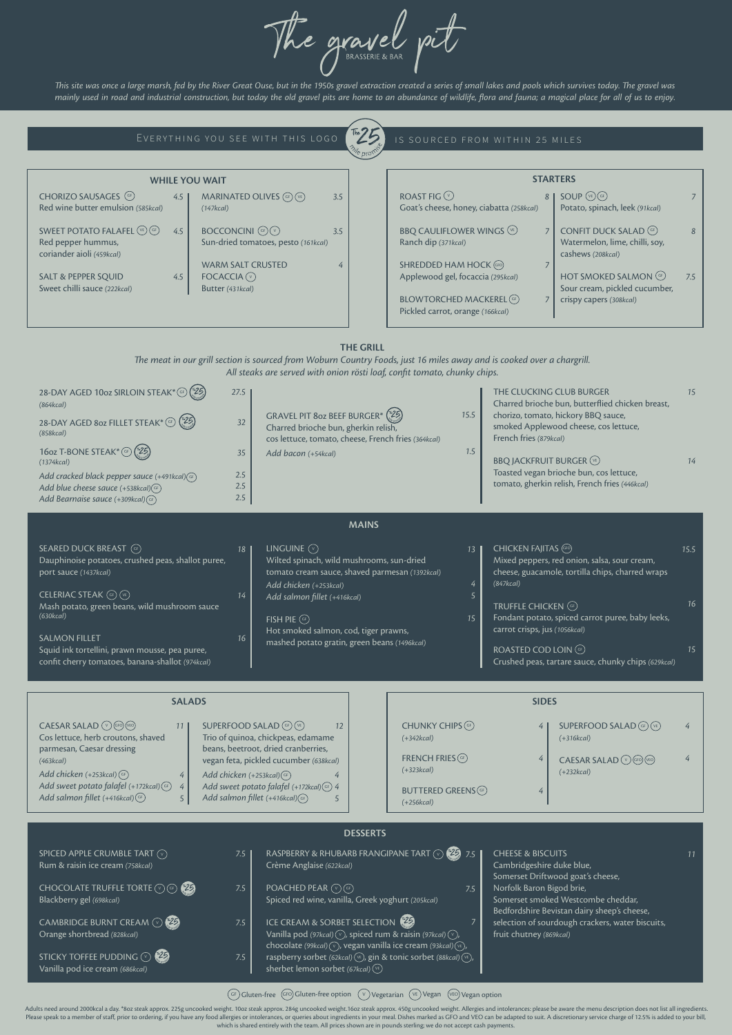# **THE GRILL**

*e meat in our grill section is sourced from Woburn Country Foods, just 16 miles away and is cooked over a chargrill. All steaks are served with onion rösti loaf, confit tomato, chunky chips.*

The gravel pit

This site was once a large marsh, fed by the River Great Ouse, but in the 1950s gravel extraction created a series of small lakes and pools which survives today. The gravel was *mainly used in road and industrial construction, but today the old gravel pits are home to an abundance of wildlife, flora and fauna; a magical place for all of us to enjoy.*

## EVERYTHING YOU SEE WITH THIS LOGO



#### IS SOURCED FROM WITHIN 25 MILES

## SPICED APPLE CRUMBLE TART  $\circledcirc$ Rum & raisin ice cream *(758kcal)*

CHOCOLATE TRUFFLE TORTE  $\circledcirc$  (GF Blackberry gel *(698kcal)*

CAMBRIDGE BURNT CREAM  $\odot$  (25) Orange shortbread *(828kcal)*

STICKY TOFFEE PUDDING  $\mathbb {V}$ Vanilla pod ice cream *(686kcal)*

 $\mathsf{POACHED}$   $\mathsf{PEAR}\ (\mathbb{V})$  (GF Spiced red wine, vanilla, Greek yoghurt *(205kcal)*

ICE CREAM & SORBET SELECTION Vanilla pod *(97kcal)*  $\left(\overline{\mathsf{v}}\right)$ , spiced rum & raisin *(97kcal)*  $\left(\overline{\mathsf{v}}\right)$ , chocolate (99kcaI) $\left(\overline{\mathsf{v}}\right)$ , vegan vanilla ice cream (93kcaI) $\left(\overline{\mathsf{v_{E}}}\right)$ , raspberry sorbet *(62kcal)*  $\sqrt{v_{\rm E}}$ , gin & tonic sorbet *(88kcal)*  $\sqrt{v_{\rm E}}$ , sherbet lemon sorbet *(67kcal)* <sup>(ve</sup> *7.5 7.5*

Adults need around 2000kcal a day. \*80z steak approx. 225g uncooked weight. 10oz steak approx. 284g uncooked weight. 16oz steak approx. 450g uncooked weight. Allergies and intolerances: please be aware the menu description Please speak to a member of staff, prior to ordering, if you have any food allergies or intolerances, or queries about ingredients in your meal. Dishes marked as GFO and VEO can be adapted to suit. A discretionary service which is shared entirely with the team. All prices shown are in pounds sterling; we do not accept cash payments.

# BUTTERED GREENS<sup>(GF</sup> *(+256kcal)*

| 28-DAY AGED 10oz SIRLOIN STEAK* (GF) (\$25)<br>(864kcal)<br>28-DAY AGED 802 FILLET STEAK* (a) (25)<br>(858kcal)<br>16oz T-BONE STEAK* (GF) (25)<br>(1374kcal)<br>Add cracked black pepper sauce (+491kcal)(aF)<br>Add blue cheese sauce (+538kcal)(GF)<br>Add Bearnaise sauce (+309kcal) (GF)                                                                                  | 27.5<br>GRAVEL PIT 8oz BEEF BURGER* (25)<br>32<br>Charred brioche bun, gherkin relish,<br>35<br>Add bacon (+54kcal)<br>2.5<br>2.5<br>2.5                                                                                                                                   | cos lettuce, tomato, cheese, French fries (364kcal)                                                                                       | 15.5<br>1.5        | THE CLUCKING CLUB BURGER<br>Charred brioche bun, butterflied chicken breast,<br>chorizo, tomato, hickory BBQ sauce,<br>smoked Applewood cheese, cos lettuce,<br>French fries (879kcal)<br><b>BBQ JACKFRUIT BURGER (VE)</b><br>Toasted vegan brioche bun, cos lettuce,<br>tomato, gherkin relish, French fries (446kcal)             | 15<br>14         |
|--------------------------------------------------------------------------------------------------------------------------------------------------------------------------------------------------------------------------------------------------------------------------------------------------------------------------------------------------------------------------------|----------------------------------------------------------------------------------------------------------------------------------------------------------------------------------------------------------------------------------------------------------------------------|-------------------------------------------------------------------------------------------------------------------------------------------|--------------------|-------------------------------------------------------------------------------------------------------------------------------------------------------------------------------------------------------------------------------------------------------------------------------------------------------------------------------------|------------------|
|                                                                                                                                                                                                                                                                                                                                                                                |                                                                                                                                                                                                                                                                            | <b>MAINS</b>                                                                                                                              |                    |                                                                                                                                                                                                                                                                                                                                     |                  |
| <b>SEARED DUCK BREAST</b> (GF)<br>Dauphinoise potatoes, crushed peas, shallot puree,<br>port sauce (1437kcal)<br>CELERIAC STEAK (GF) (VE)<br>Mash potato, green beans, wild mushroom sauce<br>(630kcal)<br><b>SALMON FILLET</b><br>Squid ink tortellini, prawn mousse, pea puree,<br>confit cherry tomatoes, banana-shallot (974kcal)                                          | LINGUINE $\circledcirc$<br>18 <sup>1</sup><br>Wilted spinach, wild mushrooms, sun-dried<br>Add chicken (+253kcal)<br>14<br>Add salmon fillet (+416kcal)<br>$FISH$ PIE $(F)$<br>Hot smoked salmon, cod, tiger prawns,<br>16<br>mashed potato gratin, green beans (1496kcal) | tomato cream sauce, shaved parmesan (1392kcal)                                                                                            | 13<br>4<br>5<br>15 | CHICKEN FAJITAS (GFO)<br>Mixed peppers, red onion, salsa, sour cream,<br>cheese, guacamole, tortilla chips, charred wraps<br>(847kcal)<br>TRUFFLE CHICKEN (GF)<br>Fondant potato, spiced carrot puree, baby leeks,<br>carrot crisps, jus (1056kcal)<br>ROASTED COD LOIN (GF)<br>Crushed peas, tartare sauce, chunky chips (629kcal) | 15.5<br>16<br>15 |
| <b>SALADS</b>                                                                                                                                                                                                                                                                                                                                                                  |                                                                                                                                                                                                                                                                            |                                                                                                                                           |                    | <b>SIDES</b>                                                                                                                                                                                                                                                                                                                        |                  |
| <b>CAESAR SALAD</b> $\sqrt{\sqrt{}}$ (FO) (YEO)<br><b>SUPERFOOD SALAD (GF) (VE)</b><br>11<br>Cos lettuce, herb croutons, shaved<br>Trio of quinoa, chickpeas, edamame<br>beans, beetroot, dried cranberries,<br>parmesan, Caesar dressing<br>vegan feta, pickled cucumber (638kcal)<br>(463kcal)<br>Add chickon (1252 keel) (cs)<br>$Add$ deficiency $(0.252\cdot 10^{\circ})$ | $(+342kcal)$<br>$(+323kcal)$                                                                                                                                                                                                                                               | CHUNKY CHIPS (GF)<br><b>SUPERFOOD SALAD</b> (GF) (VE)<br>$(+316kcal)$<br>FRENCH FRIES $(F)$<br>CAESAR SALAD (V) GFO (VEO)<br>$(+232kcal)$ |                    | 4                                                                                                                                                                                                                                                                                                                                   |                  |

| <b>WHILE YOU WAIT</b>                                                                              |     |                                                                   |     | <b>STARTERS</b>                                                    |  |                                                                                      |     |
|----------------------------------------------------------------------------------------------------|-----|-------------------------------------------------------------------|-----|--------------------------------------------------------------------|--|--------------------------------------------------------------------------------------|-----|
| CHORIZO SAUSAGES (GF)<br>Red wine butter emulsion (585kcal)                                        | 4.5 | MARINATED OLIVES $(F)$ (ve)<br>(147kcal)                          | 3.5 | ROAST FIG $\heartsuit$<br>Goat's cheese, honey, ciabatta (258kcal) |  | $SOUP$ $(\vee E)$ $GF)$<br>Potato, spinach, leek (91kcal)                            |     |
| SWEET POTATO FALAFEL $(\vee_{\mathsf{E}})$ (GF)<br>Red pepper hummus,<br>coriander aioli (459kcal) | 4.5 | <b>BOCCONCINI</b> $(F)(V)$<br>Sun-dried tomatoes, pesto (161kcal) | 3.5 | <b>BBQ CAULIFLOWER WINGS (VE)</b><br>Ranch dip (371kcal)           |  | <b>CONFIT DUCK SALAD</b> (GF)<br>Watermelon, lime, chilli, soy,<br>cashews (208kcal) | 8   |
| <b>SALT &amp; PEPPER SQUID</b><br>Sweet chilli sauce (222kcal)                                     | 4.5 | <b>WARM SALT CRUSTED</b><br>FOCACCIA $(\vee)$<br>Butter (431kcal) |     | SHREDDED HAM HOCK (GFO)<br>Applewood gel, focaccia (295kcal)       |  | HOT SMOKED SALMON (GF)<br>Sour cream, pickled cucumber,                              | 7.5 |
|                                                                                                    |     |                                                                   |     | <b>BLOWTORCHED MACKEREL</b> GF<br>Pickled carrot, orange (166kcal) |  | crispy capers (308kcal)                                                              |     |

RASPBERRY & RHUBARB FRANGIPANE TART *7.5* <sup>V</sup> *11* V Crème Anglaise *(622kcal)*

CHEESE & BISCUITS Cambridgeshire duke blue, Somerset Driftwood goat's cheese, Norfolk Baron Bigod brie, Somerset smoked Westcombe cheddar, Bedfordshire Bevistan dairy sheep's cheese, selection of sourdough crackers, water biscuits, fruit chutney *(869kcal)*

## **DESSERTS**

*7.5*

*7.5*

*7.5*

*Add sweet potato falafel (+172kcal) 4* GF *Add salmon fillet (+416kcal)* GF *5* *Add sweet potato falafel (+172kcal) 4* GF **Add salmon fillet (+416kcal)(<sup>GF</sup>** *5*

*Add chicken (+253kcal)* GF

CH

SW Red cori

SAL Swe

*4*

*Add chicken (+253kcal)* GF

*4*

*4*

 $G_F$  Gluten-free  $G_F$  Gluten-free option  $(\vee)$  Vegetarian  $(\vee)$  Vegan  $(\vee)$  Vegan option